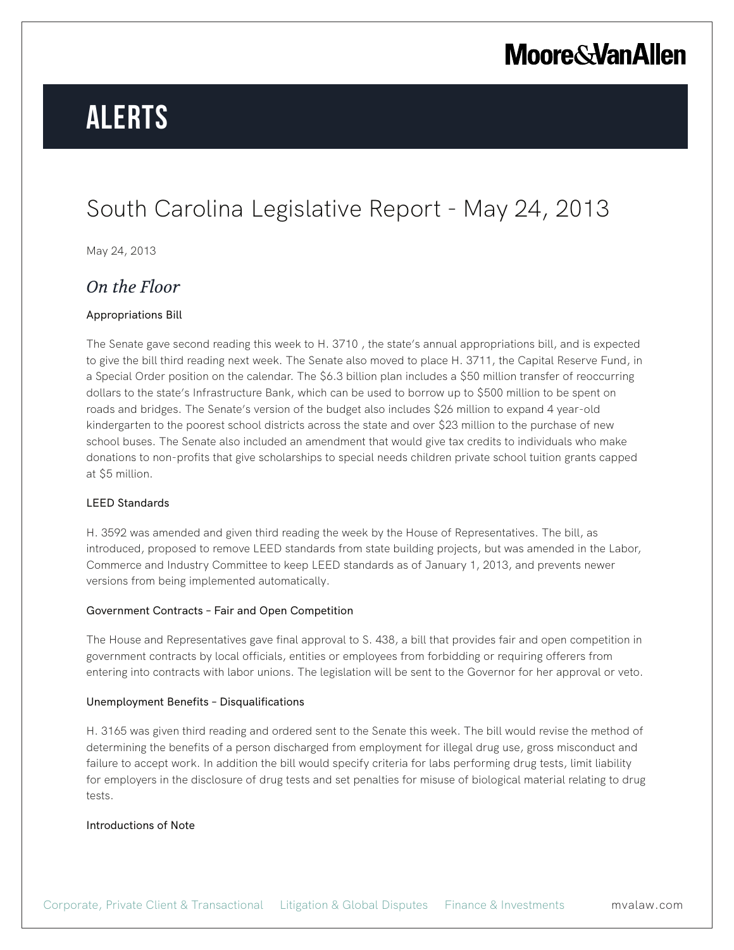## **Moore & Van Allen**

# **Alerts**

### South Carolina Legislative Report - May 24, 2013

May 24, 2013

### *On the Floor*

#### Appropriations Bill

The Senate gave second reading this week to H. 3710 , the state's annual appropriations bill, and is expected to give the bill third reading next week. The Senate also moved to place H. 3711, the Capital Reserve Fund, in a Special Order position on the calendar. The \$6.3 billion plan includes a \$50 million transfer of reoccurring dollars to the state's Infrastructure Bank, which can be used to borrow up to \$500 million to be spent on roads and bridges. The Senate's version of the budget also includes \$26 million to expand 4 year-old kindergarten to the poorest school districts across the state and over \$23 million to the purchase of new school buses. The Senate also included an amendment that would give tax credits to individuals who make donations to non-profits that give scholarships to special needs children private school tuition grants capped at \$5 million.

#### LEED Standards

H. 3592 was amended and given third reading the week by the House of Representatives. The bill, as introduced, proposed to remove LEED standards from state building projects, but was amended in the Labor, Commerce and Industry Committee to keep LEED standards as of January 1, 2013, and prevents newer versions from being implemented automatically.

#### Government Contracts – Fair and Open Competition

The House and Representatives gave final approval to S. 438, a bill that provides fair and open competition in government contracts by local officials, entities or employees from forbidding or requiring offerers from entering into contracts with labor unions. The legislation will be sent to the Governor for her approval or veto.

#### Unemployment Benefits – Disqualifications

H. 3165 was given third reading and ordered sent to the Senate this week. The bill would revise the method of determining the benefits of a person discharged from employment for illegal drug use, gross misconduct and failure to accept work. In addition the bill would specify criteria for labs performing drug tests, limit liability for employers in the disclosure of drug tests and set penalties for misuse of biological material relating to drug tests.

#### Introductions of Note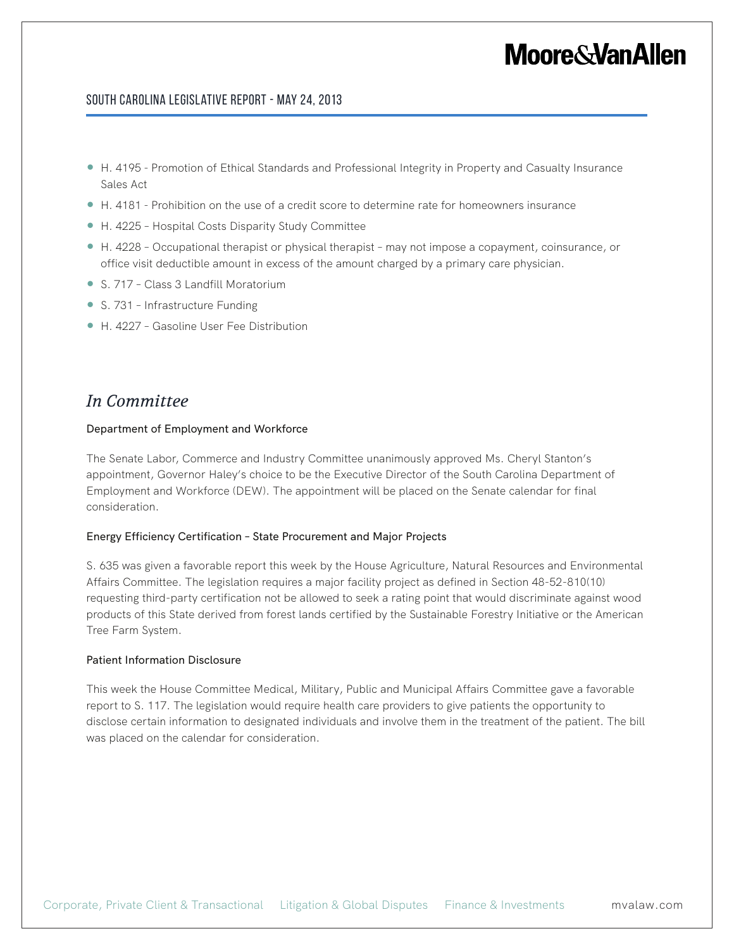## **Moore&VanAllen**

#### South Carolina Legislative Report - May 24, 2013

- H. 4195 Promotion of Ethical Standards and Professional Integrity in Property and Casualty Insurance Sales Act
- H. 4181 Prohibition on the use of a credit score to determine rate for homeowners insurance
- H. 4225 Hospital Costs Disparity Study Committee
- H. 4228 Occupational therapist or physical therapist may not impose a copayment, coinsurance, or office visit deductible amount in excess of the amount charged by a primary care physician.
- S. 717 Class 3 Landfill Moratorium
- S. 731 Infrastructure Funding
- H. 4227 Gasoline User Fee Distribution

### *In Committee*

#### Department of Employment and Workforce

The Senate Labor, Commerce and Industry Committee unanimously approved Ms. Cheryl Stanton's appointment, Governor Haley's choice to be the Executive Director of the South Carolina Department of Employment and Workforce (DEW). The appointment will be placed on the Senate calendar for final consideration.

#### Energy Efficiency Certification – State Procurement and Major Projects

S. 635 was given a favorable report this week by the House Agriculture, Natural Resources and Environmental Affairs Committee. The legislation requires a major facility project as defined in Section 48-52-810(10) requesting third-party certification not be allowed to seek a rating point that would discriminate against wood products of this State derived from forest lands certified by the Sustainable Forestry Initiative or the American Tree Farm System.

#### Patient Information Disclosure

This week the House Committee Medical, Military, Public and Municipal Affairs Committee gave a favorable report to S. 117. The legislation would require health care providers to give patients the opportunity to disclose certain information to designated individuals and involve them in the treatment of the patient. The bill was placed on the calendar for consideration.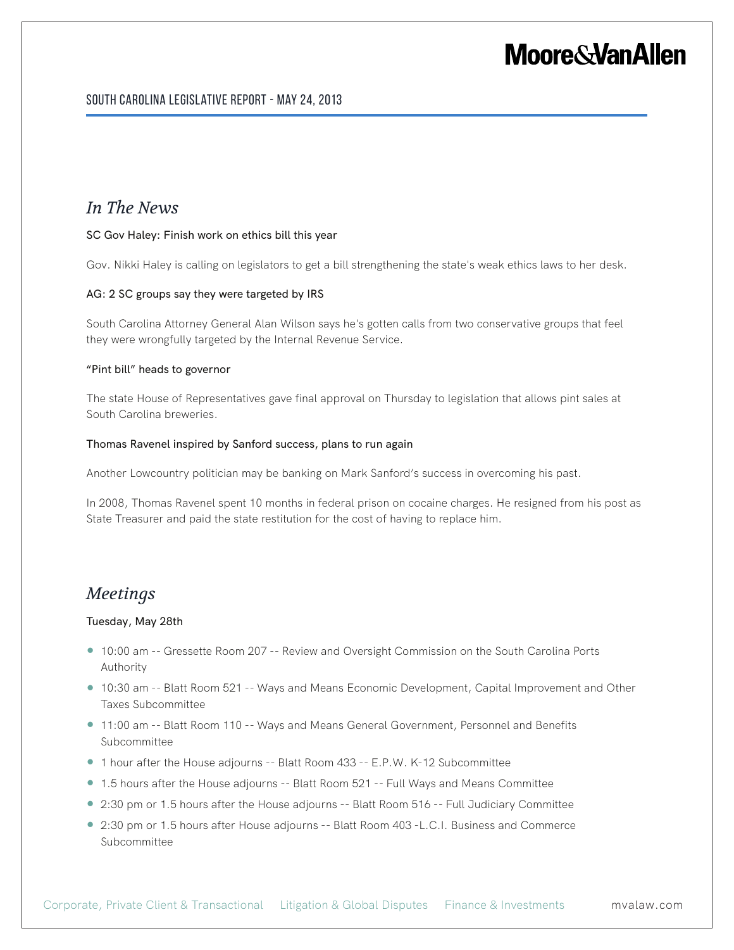## **Moore&VanAllen**

### *In The News*

#### SC Gov Haley: Finish work on ethics bill this year

Gov. Nikki Haley is calling on legislators to get a bill strengthening the state's weak ethics laws to her desk.

#### AG: 2 SC groups say they were targeted by IRS

South Carolina Attorney General Alan Wilson says he's gotten calls from two conservative groups that feel they were wrongfully targeted by the Internal Revenue Service.

#### "Pint bill" heads to governor

The state House of Representatives gave final approval on Thursday to legislation that allows pint sales at South Carolina breweries.

#### Thomas Ravenel inspired by Sanford success, plans to run again

Another Lowcountry politician may be banking on Mark Sanford's success in overcoming his past.

In 2008, Thomas Ravenel spent 10 months in federal prison on cocaine charges. He resigned from his post as State Treasurer and paid the state restitution for the cost of having to replace him.

### *Meetings*

#### Tuesday, May 28th

- 10:00 am -- Gressette Room 207 -- Review and Oversight Commission on the South Carolina Ports Authority
- 10:30 am -- Blatt Room 521 -- Ways and Means Economic Development, Capital Improvement and Other Taxes Subcommittee
- 11:00 am -- Blatt Room 110 -- Ways and Means General Government, Personnel and Benefits Subcommittee
- 1 hour after the House adjourns -- Blatt Room 433 -- E.P.W. K-12 Subcommittee
- 1.5 hours after the House adjourns -- Blatt Room 521 -- Full Ways and Means Committee
- 2:30 pm or 1.5 hours after the House adjourns -- Blatt Room 516 -- Full Judiciary Committee
- 2:30 pm or 1.5 hours after House adjourns -- Blatt Room 403 -L.C.I. Business and Commerce Subcommittee